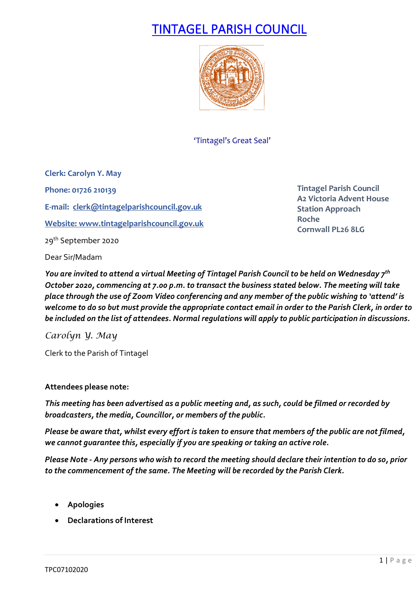# TINTAGEL PARISH COUNCIL



'Tintagel's Great Seal'

**Clerk: Carolyn Y. May Phone: 01726 210139 E-mail: [clerk@tintagelparishcouncil.gov.uk](mailto:clerk@tintagelparishcouncil.gov.uk) Website[: www.tintagelparishcouncil.gov.uk](http://www.tintagelparishcouncil.gov.uk/)** 29<sup>th</sup> September 2020

**Tintagel Parish Council A2 Victoria Advent House Station Approach Roche Cornwall PL26 8LG**

Dear Sir/Madam

*You are invited to attend a virtual Meeting of Tintagel Parish Council to be held on Wednesday 7th October 2020, commencing at 7.00 p.m. to transact the business stated below. The meeting will take place through the use of Zoom Video conferencing and any member of the public wishing to 'attend' is welcome to do so but must provide the appropriate contact email in order to the Parish Clerk, in order to be included on the list of attendees. Normal regulations will apply to public participation in discussions.*

*Carolyn Y. May*

Clerk to the Parish of Tintagel

### **Attendees please note:**

*This meeting has been advertised as a public meeting and, as such, could be filmed or recorded by broadcasters, the media, Councillor, or members of the public.*

*Please be aware that, whilst every effort is taken to ensure that members of the public are not filmed, we cannot guarantee this, especially if you are speaking or taking an active role.*

*Please Note - Any persons who wish to record the meeting should declare their intention to do so, prior to the commencement of the same. The Meeting will be recorded by the Parish Clerk.*

- **Apologies**
- **Declarations of Interest**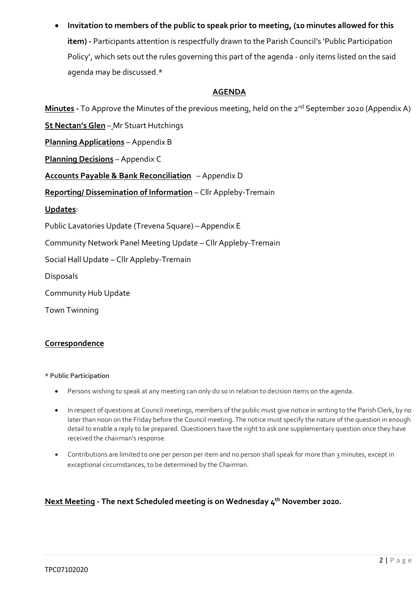• **Invitation to members of the public to speak prior to meeting, (10 minutes allowed for this item) -** Participants attention is respectfully drawn to the Parish Council's 'Public Participation Policy', which sets out the rules governing this part of the agenda - only items listed on the said agenda may be discussed.\*

### **AGENDA**

**Minutes** - To Approve the Minutes of the previous meeting, held on the 2<sup>nd</sup> September 2020 (Appendix A)

**Planning Applications** – Appendix B

**St Nectan's Glen** – Mr Stuart Hutchings

**Planning Decisions** – Appendix C

**Accounts Payable & Bank Reconciliation** – Appendix D

**Reporting/ Dissemination of Information** – Cllr Appleby-Tremain

**Updates**:

Public Lavatories Update (Trevena Square) – Appendix E

Community Network Panel Meeting Update – Cllr Appleby-Tremain

Social Hall Update – Cllr Appleby-Tremain

Disposals

Community Hub Update

Town Twinning

### **Correspondence**

**\* Public Participation**

- Persons wishing to speak at any meeting can only do so in relation to decision items on the agenda.
- In respect of questions at Council meetings, members of the public must give notice in writing to the Parish Clerk, by no later than noon on the Friday before the Council meeting. The notice must specify the nature of the question in enough detail to enable a reply to be prepared. Questioners have the right to ask one supplementary question once they have received the chairman's response.
- Contributions are limited to one per person per item and no person shall speak for more than 3 minutes, except in exceptional circumstances, to be determined by the Chairman.

### **Next Meeting - The next Scheduled meeting is on Wednesday 4th November 2020.**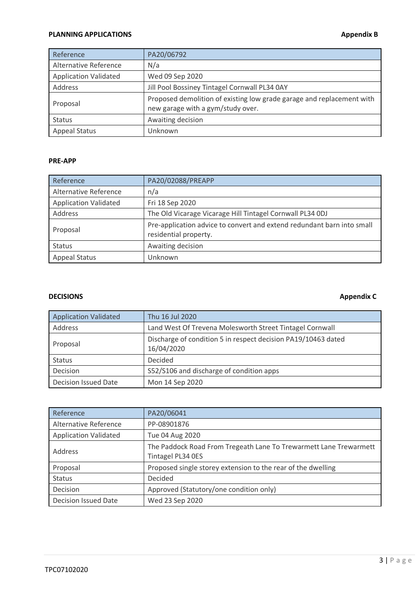### **PLANNING APPLICATIONS Appendix B**

| Reference                    | PA20/06792                                                                                                 |
|------------------------------|------------------------------------------------------------------------------------------------------------|
| Alternative Reference        | N/a                                                                                                        |
| <b>Application Validated</b> | Wed 09 Sep 2020                                                                                            |
| Address                      | Jill Pool Bossiney Tintagel Cornwall PL34 0AY                                                              |
| Proposal                     | Proposed demolition of existing low grade garage and replacement with<br>new garage with a gym/study over. |
| <b>Status</b>                | Awaiting decision                                                                                          |
| <b>Appeal Status</b>         | Jnknown                                                                                                    |

### **PRE-APP**

| Reference                    | PA20/02088/PREAPP                                                                               |
|------------------------------|-------------------------------------------------------------------------------------------------|
| Alternative Reference        | n/a                                                                                             |
| <b>Application Validated</b> | Fri 18 Sep 2020                                                                                 |
| Address                      | The Old Vicarage Vicarage Hill Tintagel Cornwall PL34 0DJ                                       |
| Proposal                     | Pre-application advice to convert and extend redundant barn into small<br>residential property. |
| <b>Status</b>                | Awaiting decision                                                                               |
| <b>Appeal Status</b>         | Unknown                                                                                         |

### **DECISIONS** Appendix C

| <b>Application Validated</b> | Thu 16 Jul 2020                                                             |  |  |  |
|------------------------------|-----------------------------------------------------------------------------|--|--|--|
| Address                      | Land West Of Trevena Molesworth Street Tintagel Cornwall                    |  |  |  |
| Proposal                     | Discharge of condition 5 in respect decision PA19/10463 dated<br>16/04/2020 |  |  |  |
| <b>Status</b>                | Decided                                                                     |  |  |  |
| Decision                     | S52/S106 and discharge of condition apps                                    |  |  |  |
| <b>Decision Issued Date</b>  | Mon 14 Sep 2020                                                             |  |  |  |

| Reference                    | PA20/06041                                                                             |
|------------------------------|----------------------------------------------------------------------------------------|
| Alternative Reference        | PP-08901876                                                                            |
| <b>Application Validated</b> | Tue 04 Aug 2020                                                                        |
| Address                      | The Paddock Road From Tregeath Lane To Trewarmett Lane Trewarmett<br>Tintagel PL34 OES |
| Proposal                     | Proposed single storey extension to the rear of the dwelling                           |
| <b>Status</b>                | Decided                                                                                |
| Decision                     | Approved (Statutory/one condition only)                                                |
| Decision Issued Date         | Wed 23 Sep 2020                                                                        |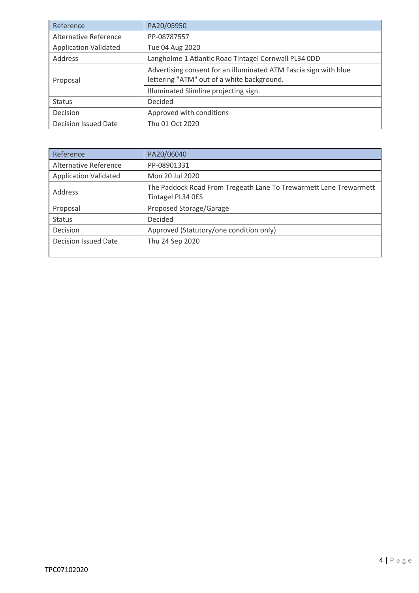| Reference                    | PA20/05950                                                                                                     |  |
|------------------------------|----------------------------------------------------------------------------------------------------------------|--|
| Alternative Reference        | PP-08787557                                                                                                    |  |
| <b>Application Validated</b> | Tue 04 Aug 2020                                                                                                |  |
| Address                      | Langholme 1 Atlantic Road Tintagel Cornwall PL34 ODD                                                           |  |
| Proposal                     | Advertising consent for an illuminated ATM Fascia sign with blue<br>lettering "ATM" out of a white background. |  |
|                              | Illuminated Slimline projecting sign.                                                                          |  |
| <b>Status</b>                | Decided                                                                                                        |  |
| Decision                     | Approved with conditions                                                                                       |  |
| <b>Decision Issued Date</b>  | Thu 01 Oct 2020                                                                                                |  |

| Reference                    | PA20/06040                                                                             |
|------------------------------|----------------------------------------------------------------------------------------|
| Alternative Reference        | PP-08901331                                                                            |
| <b>Application Validated</b> | Mon 20 Jul 2020                                                                        |
| Address                      | The Paddock Road From Tregeath Lane To Trewarmett Lane Trewarmett<br>Tintagel PL34 OES |
| Proposal                     | Proposed Storage/Garage                                                                |
| <b>Status</b>                | Decided                                                                                |
| Decision                     | Approved (Statutory/one condition only)                                                |
| <b>Decision Issued Date</b>  | Thu 24 Sep 2020                                                                        |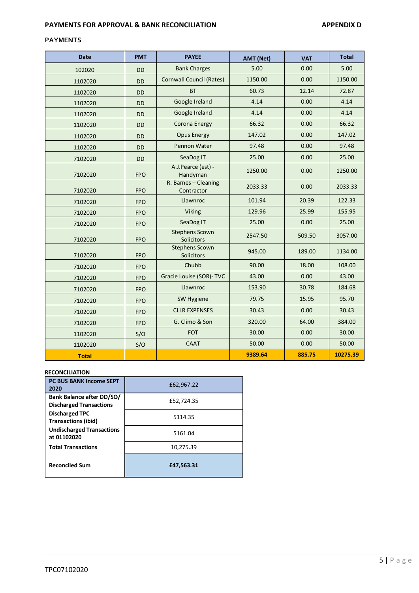### **PAYMENTS FOR APPROVAL & BANK RECONCILIATION APPENDIX D**

### **PAYMENTS**

| <b>Date</b>  | <b>PMT</b> | <b>PAYEE</b>                               | <b>AMT (Net)</b> |        | <b>Total</b> |
|--------------|------------|--------------------------------------------|------------------|--------|--------------|
| 102020       | <b>DD</b>  | 5.00<br><b>Bank Charges</b>                |                  | 0.00   | 5.00         |
| 1102020      | <b>DD</b>  | <b>Cornwall Council (Rates)</b><br>1150.00 |                  | 0.00   | 1150.00      |
| 1102020      | <b>DD</b>  | <b>BT</b>                                  | 60.73            | 12.14  | 72.87        |
| 1102020      | <b>DD</b>  | Google Ireland                             | 4.14             | 0.00   | 4.14         |
| 1102020      | <b>DD</b>  | Google Ireland                             | 4.14             | 0.00   | 4.14         |
| 1102020      | <b>DD</b>  | Corona Energy                              | 66.32            | 0.00   | 66.32        |
| 1102020      | <b>DD</b>  | <b>Opus Energy</b>                         | 147.02           | 0.00   | 147.02       |
| 1102020      | <b>DD</b>  | Pennon Water                               | 97.48            | 0.00   | 97.48        |
| 7102020      | <b>DD</b>  | SeaDog IT                                  | 25.00            | 0.00   | 25.00        |
| 7102020      | <b>FPO</b> | A.J.Pearce (est) -<br>Handyman             | 1250.00          | 0.00   | 1250.00      |
| 7102020      | <b>FPO</b> | R. Barnes - Cleaning<br>Contractor         | 2033.33          |        | 2033.33      |
| 7102020      | <b>FPO</b> | Llawnroc                                   | 101.94           | 20.39  | 122.33       |
| 7102020      | <b>FPO</b> | <b>Viking</b>                              | 129.96           |        | 155.95       |
| 7102020      | <b>FPO</b> | SeaDog IT<br>25.00                         |                  | 0.00   | 25.00        |
| 7102020      | <b>FPO</b> | <b>Stephens Scown</b><br>Solicitors        | 2547.50          |        | 3057.00      |
| 7102020      | <b>FPO</b> | <b>Stephens Scown</b><br>Solicitors        | 945.00           | 189.00 | 1134.00      |
| 7102020      | <b>FPO</b> | Chubb                                      | 90.00            | 18.00  | 108.00       |
| 7102020      | <b>FPO</b> | Gracie Louise (SOR)- TVC                   | 43.00            | 0.00   | 43.00        |
| 7102020      | <b>FPO</b> | Llawnroc<br>153.90                         |                  | 30.78  | 184.68       |
| 7102020      | <b>FPO</b> | 79.75<br>SW Hygiene                        |                  | 15.95  | 95.70        |
| 7102020      | <b>FPO</b> | <b>CLLR EXPENSES</b><br>30.43              |                  | 0.00   | 30.43        |
| 7102020      | <b>FPO</b> | G. Climo & Son                             | 320.00           | 64.00  | 384.00       |
| 1102020      | S/O        | <b>FOT</b><br>30.00                        |                  | 0.00   | 30.00        |
| 1102020      | S/O        | <b>CAAT</b><br>50.00                       |                  | 0.00   | 50.00        |
| <b>Total</b> |            |                                            | 9389.64          | 885.75 | 10275.39     |

### **RECONCILIATION**

| <b>PC BUS BANK Income SEPT</b><br>2020                      | £62,967.22 |  |  |  |
|-------------------------------------------------------------|------------|--|--|--|
| Bank Balance after DD/SO/<br><b>Discharged Transactions</b> | £52,724.35 |  |  |  |
| <b>Discharged TPC</b><br><b>Transactions (ibid)</b>         | 5114.35    |  |  |  |
| <b>Undischarged Transactions</b><br>at 01102020             | 5161.04    |  |  |  |
| <b>Total Transactions</b>                                   | 10,275.39  |  |  |  |
| <b>Reconciled Sum</b>                                       | £47,563.31 |  |  |  |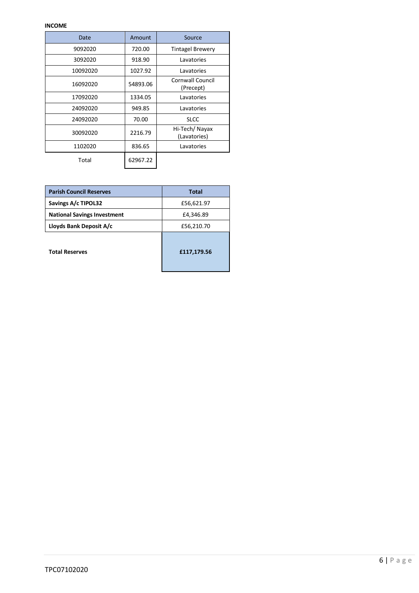| Date     | Amount   | Source                        |  |
|----------|----------|-------------------------------|--|
| 9092020  | 720.00   | <b>Tintagel Brewery</b>       |  |
| 3092020  | 918.90   | Lavatories                    |  |
| 10092020 | 1027.92  | Lavatories                    |  |
| 16092020 | 54893.06 | Cornwall Council<br>(Precept) |  |
| 17092020 | 1334.05  | Lavatories                    |  |
| 24092020 | 949.85   | Lavatories                    |  |
| 24092020 | 70.00    | <b>SLCC</b>                   |  |
| 30092020 | 2216.79  | Hi-Tech/Nayax<br>(Lavatories) |  |
| 1102020  | 836.65   | Lavatories                    |  |
| Total    | 62967.22 |                               |  |

| <b>Parish Council Reserves</b>     | <b>Total</b> |  |
|------------------------------------|--------------|--|
| Savings A/c TIPOL32                | £56,621.97   |  |
| <b>National Savings Investment</b> | £4,346.89    |  |
| Lloyds Bank Deposit A/c            | £56,210.70   |  |
| <b>Total Reserves</b>              | £117,179.56  |  |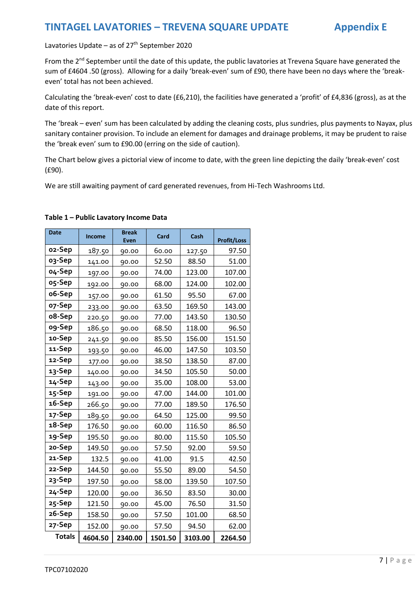## **TINTAGEL LAVATORIES – TREVENA SQUARE UPDATE Appendix E**

Lavatories Update – as of 27<sup>th</sup> September 2020

From the 2<sup>nd</sup> September until the date of this update, the public lavatories at Trevena Square have generated the sum of £4604 .50 (gross). Allowing for a daily 'break-even' sum of £90, there have been no days where the 'breakeven' total has not been achieved.

Calculating the 'break-even' cost to date (£6,210), the facilities have generated a 'profit' of £4,836 (gross), as at the date of this report.

The 'break – even' sum has been calculated by adding the cleaning costs, plus sundries, plus payments to Nayax, plus sanitary container provision. To include an element for damages and drainage problems, it may be prudent to raise the 'break even' sum to £90.00 (erring on the side of caution).

The Chart below gives a pictorial view of income to date, with the green line depicting the daily 'break-even' cost (£90).

We are still awaiting payment of card generated revenues, from Hi-Tech Washrooms Ltd.

| <b>Date</b>   | Income  | <b>Break</b><br><b>Even</b> | Card    | Cash    | <b>Profit/Loss</b> |
|---------------|---------|-----------------------------|---------|---------|--------------------|
| 02-Sep        | 187.50  | 90.00                       | 60.00   | 127.50  | 97.50              |
| 03-Sep        | 141.00  | 90.00                       | 52.50   | 88.50   | 51.00              |
| o4-Sep        | 197.00  | 90.00                       | 74.00   | 123.00  | 107.00             |
| o5-Sep        | 192.00  | 90.00                       | 68.00   | 124.00  | 102.00             |
| o6-Sep        | 157.00  | 90.00                       | 61.50   | 95.50   | 67.00              |
| 07-Sep        | 233.00  | 90.00                       | 63.50   | 169.50  | 143.00             |
| o8-Sep        | 220.50  | 90.00                       | 77.00   | 143.50  | 130.50             |
| og-Sep        | 186.50  | 90.00                       | 68.50   | 118.00  | 96.50              |
| 10-Sep        | 241.50  | 90.00                       | 85.50   | 156.00  | 151.50             |
| 11-Sep        | 193.50  | 90.00                       | 46.00   | 147.50  | 103.50             |
| 12-Sep        | 177.00  | 90.00                       | 38.50   | 138.50  | 87.00              |
| 13-Sep        | 140.00  | 90.00                       | 34.50   | 105.50  | 50.00              |
| 14-Sep        | 143.00  | 90.00                       | 35.00   | 108.00  | 53.00              |
| 15-Sep        | 191.00  | 90.00                       | 47.00   | 144.00  | 101.00             |
| 16-Sep        | 266.50  | 90.00                       | 77.00   | 189.50  | 176.50             |
| 17-Sep        | 189.50  | 90.00                       | 64.50   | 125.00  | 99.50              |
| 18-Sep        | 176.50  | 90.00                       | 60.00   | 116.50  | 86.50              |
| 19-Sep        | 195.50  | 90.00                       | 80.00   | 115.50  | 105.50             |
| 20-Sep        | 149.50  | 90.00                       | 57.50   | 92.00   | 59.50              |
| 21-Sep        | 132.5   | 90.00                       | 41.00   | 91.5    | 42.50              |
| 22-Sep        | 144.50  | 90.00                       | 55.50   | 89.00   | 54.50              |
| 23-Sep        | 197.50  | 90.00                       | 58.00   | 139.50  | 107.50             |
| 24-Sep        | 120.00  | 90.00                       | 36.50   | 83.50   | 30.00              |
| 25-Sep        | 121.50  | 90.00                       | 45.00   | 76.50   | 31.50              |
| 26-Sep        | 158.50  | 90.00                       | 57.50   | 101.00  | 68.50              |
| 27-Sep        | 152.00  | 90.00                       | 57.50   | 94.50   | 62.00              |
| <b>Totals</b> | 4604.50 | 2340.00                     | 1501.50 | 3103.00 | 2264.50            |

### **Table 1 – Public Lavatory Income Data**